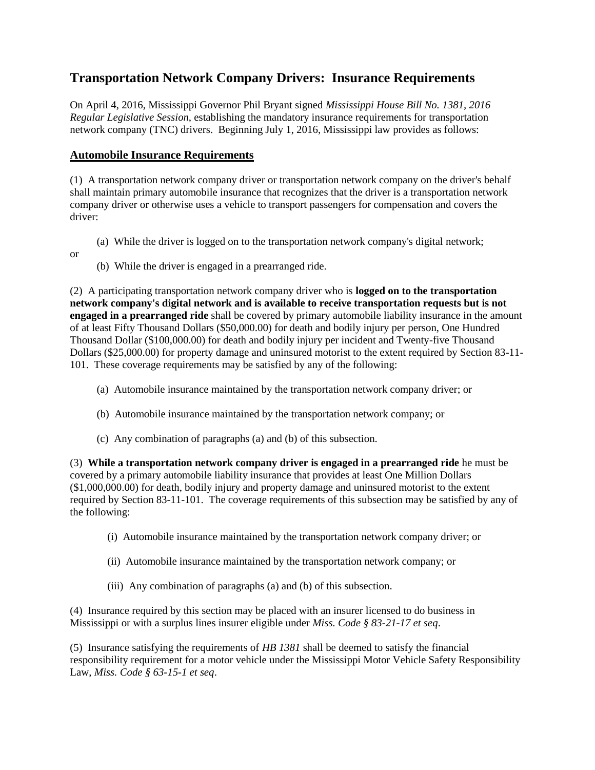## **Transportation Network Company Drivers: Insurance Requirements**

On April 4, 2016, Mississippi Governor Phil Bryant signed *Mississippi House Bill No. 1381, 2016 Regular Legislative Session*, establishing the mandatory insurance requirements for transportation network company (TNC) drivers. Beginning July 1, 2016, Mississippi law provides as follows:

## **Automobile Insurance Requirements**

(1) A transportation network company driver or transportation network company on the driver's behalf shall maintain primary automobile insurance that recognizes that the driver is a transportation network company driver or otherwise uses a vehicle to transport passengers for compensation and covers the driver:

- (a) While the driver is logged on to the transportation network company's digital network;
- or
- (b) While the driver is engaged in a prearranged ride.

(2) A participating transportation network company driver who is **logged on to the transportation network company's digital network and is available to receive transportation requests but is not engaged in a prearranged ride** shall be covered by primary automobile liability insurance in the amount of at least Fifty Thousand Dollars (\$50,000.00) for death and bodily injury per person, One Hundred Thousand Dollar (\$100,000.00) for death and bodily injury per incident and Twenty-five Thousand Dollars (\$25,000.00) for property damage and uninsured motorist to the extent required by Section 83-11- 101. These coverage requirements may be satisfied by any of the following:

- (a) Automobile insurance maintained by the transportation network company driver; or
- (b) Automobile insurance maintained by the transportation network company; or
- (c) Any combination of paragraphs (a) and (b) of this subsection.

(3) **While a transportation network company driver is engaged in a prearranged ride** he must be covered by a primary automobile liability insurance that provides at least One Million Dollars (\$1,000,000.00) for death, bodily injury and property damage and uninsured motorist to the extent required by Section 83-11-101. The coverage requirements of this subsection may be satisfied by any of the following:

- (i) Automobile insurance maintained by the transportation network company driver; or
- (ii) Automobile insurance maintained by the transportation network company; or
- (iii) Any combination of paragraphs (a) and (b) of this subsection.

(4) Insurance required by this section may be placed with an insurer licensed to do business in Mississippi or with a surplus lines insurer eligible under *Miss. Code § 83-21-17 et seq*.

(5) Insurance satisfying the requirements of *HB 1381* shall be deemed to satisfy the financial responsibility requirement for a motor vehicle under the Mississippi Motor Vehicle Safety Responsibility Law, *Miss. Code § 63-15-1 et seq*.